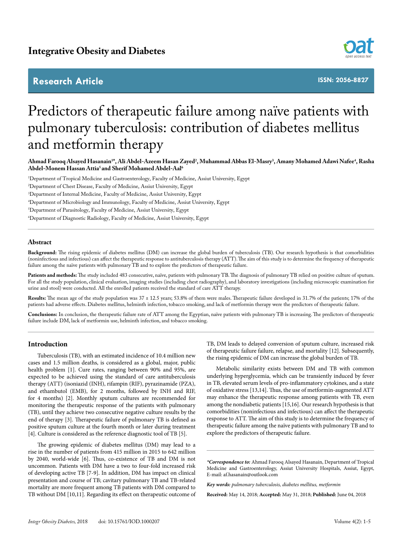# **Research Article**



**ISSN: 2056-8827**

# Predictors of therapeutic failure among naïve patients with pulmonary tuberculosis: contribution of diabetes mellitus and metformin therapy

Ahmad Farooq Alsayed Hasanain<sup>1\*</sup>, Ali Abdel-Azeem Hasan Zayed<sup>2</sup>, Muhammad Abbas El-Masry<sup>3</sup>, Amany Mohamed Adawi Nafee<sup>4</sup>, Rasha **Abdel-Monem Hassan Attia5 and Sherif Mohamed Abdel-Aal6**

1 Department of Tropical Medicine and Gastroenterology, Faculty of Medicine, Assiut University, Egypt

2 Department of Chest Disease, Faculty of Medicine, Assiut University, Egypt

3 Department of Internal Medicine, Faculty of Medicine, Assiut University, Egypt

4 Department of Microbiology and Immunology, Faculty of Medicine, Assiut University, Egypt

5 Department of Parasitology, Faculty of Medicine, Assiut University, Egypt

6 Department of Diagnostic Radiology, Faculty of Medicine, Assiut University, Egypt

# **Abstract**

**Background:** The rising epidemic of diabetes mellitus (DM) can increase the global burden of tuberculosis (TB). Our research hypothesis is that comorbidities (noninfectious and infectious) can affect the therapeutic response to antituberculosis therapy (ATT). The aim of this study is to determine the frequency of therapeutic failure among the naïve patients with pulmonary TB and to explore the predictors of therapeutic failure.

Patients and methods: The study included 483 consecutive, naïve, patients with pulmonary TB. The diagnosis of pulmonary TB relied on positive culture of sputum. For all the study population, clinical evaluation, imaging studies (including chest radiography), and laboratory investigations (including microscopic examination for urine and stool) were conducted. All the enrolled patients received the standard of care ATT therapy.

Results: The mean age of the study population was 37 ± 12.5 years; 53.8% of them were males. Therapeutic failure developed in 31.7% of the patients; 17% of the patients had adverse effects. Diabetes mellitus, helminth infection, tobacco smoking, and lack of metformin therapy were the predictors of therapeutic failure.

**Conclusions:** In conclusion, the therapeutic failure rate of ATT among the Egyptian, naïve patients with pulmonary TB is increasing. The predictors of therapeutic failure include DM, lack of metformin use, helminth infection, and tobacco smoking.

# **Introduction**

Tuberculosis (TB), with an estimated incidence of 10.4 million new cases and 1.5 million deaths, is considered as a global, major, public health problem [1]. Cure rates, ranging between 90% and 95%, are expected to be achieved using the standard of care antituberculosis therapy (ATT) (isoniazid (INH), rifampin (RIF), pyrazinamide (PZA), and ethambutol (EMB), for 2 months, followed by INH and RIF, for 4 months) [2]. Monthly sputum cultures are recommended for monitoring the therapeutic response of the patients with pulmonary (TB), until they achieve two consecutive negative culture results by the end of therapy [3]. Therapeutic failure of pulmonary TB is defined as positive sputum culture at the fourth month or later during treatment [4]. Culture is considered as the reference diagnostic tool of TB [5].

The growing epidemic of diabetes mellitus (DM) may lead to a rise in the number of patients from 415 million in 2015 to 642 million by 2040, world-wide [6]. Thus, co-existence of TB and DM is not uncommon. Patients with DM have a two to four-fold increased risk of developing active TB [7-9]. In addition, DM has impact on clinical presentation and course of TB; cavitary pulmonary TB and TB-related mortality are more frequent among TB patients with DM compared to TB without DM [10,11]. Regarding its effect on therapeutic outcome of TB, DM leads to delayed conversion of sputum culture, increased risk of therapeutic failure failure, relapse, and mortality [12]. Subsequently, the rising epidemic of DM can increase the global burden of TB.

Metabolic similarity exists between DM and TB with common underlying hyperglycemia, which can be transiently induced by fever in TB, elevated serum levels of pro-inflammatory cytokines, and a state of oxidative stress [13,14]. Thus, the use of metformin-augmented ATT may enhance the therapeutic response among patients with TB, even among the nondiabetic patients [15,16]. Our research hypothesis is that comorbidities (noninfectious and infectious) can affect the therapeutic response to ATT. The aim of this study is to determine the frequency of therapeutic failure among the naïve patients with pulmonary TB and to explore the predictors of therapeutic failure.

*\*Correspondence to:* Ahmad Farooq Alsayed Hasanain, Department of Tropical Medicine and Gastroenterology, Assiut University Hospitals, Assiut, Egypt, E-mail: af.hasanain@outlook.com

*Key words: pulmonary tuberculosis, diabetes mellitus, metformin*

**Received:** May 14, 2018; **Accepted:** May 31, 2018; **Published:** June 04, 2018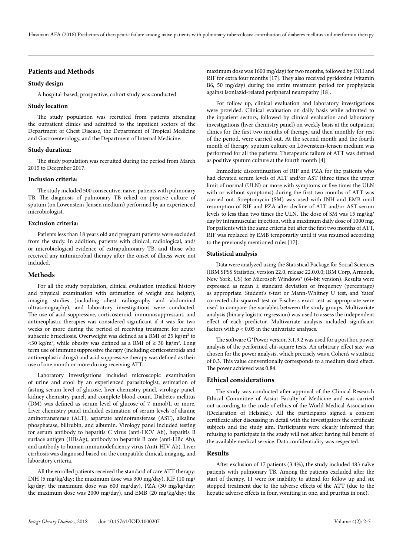# **Patients and Methods**

# **Study design**

A hospital-based, prospective, cohort study was conducted.

# **Study location**

The study population was recruited from patients attending the outpatient clinics and admitted to the inpatient sectors of the Department of Chest Disease, the Department of Tropical Medicine and Gastroenterology, and the Department of Internal Medicine.

# **Study duration:**

The study population was recruited during the period from March 2015 to December 2017.

# **Inclusion criteria:**

The study included 500 consecutive, naïve, patients with pulmonary TB. The diagnosis of pulmonary TB relied on positive culture of sputum (on Löwenstein-Jensen medium) performed by an experienced microbiologist.

#### **Exclusion criteria:**

Patients less than 18 years old and pregnant patients were excluded from the study. In addition, patients with clinical, radiological, and/ or microbiological evidence of extrapulmonary TB, and those who received any antimicrobial therapy after the onset of illness were not included.

# **Methods**

For all the study population, clinical evaluation (medical history and physical examination with estimation of weight and height), imaging studies (including chest radiography and abdominal ultrasonography), and laboratory investigations were conducted. The use of acid suppressive, corticosteroid, immunosuppressant, and antineoplastic therapies was considered significant if it was for two weeks or more during the period of receiving treatment for acute/ subacute brucellosis. Overweight was defined as a BMI of 25 kg/m<sup>2</sup> to <30 kg/m<sup>2</sup>, while obesity was defined as a BMI of  $\geq$  30 kg/m<sup>2</sup>. Long term use of immunosuppressive therapy (including corticosteroids and antineoplastic drugs) and acid suppressive therapy was defined as their use of one month or more during receiving ATT.

Laboratory investigations included microscopic examination of urine and stool by an experienced parasitologist, estimation of fasting serum level of glucose, liver chemistry panel, virology panel, kidney chemistry panel, and complete blood count. Diabetes mellitus (DM) was defined as serum level of glucose of 7 mmol/L or more. Liver chemistry panel included estimation of serum levels of alanine aminotransferase (ALT), aspartate aminotransferase (AST), alkaline phosphatase, bilirubin, and albumin. Virology panel included testing for serum antibody to hepatitis C virus (anti-HCV Ab), hepatitis B surface antigen (HBsAg), antibody to hepatitis B core (anti-HBc Ab), and antibody to human immunodeficiency virus (Anti-HIV Ab). Liver cirrhosis was diagnosed based on the compatible clinical, imaging, and laboratory criteria.

All the enrolled patients received the standard of care ATT therapy: INH (5 mg/kg/day; the maximum dose was 300 mg/day), RIF (10 mg/ kg/day; the maximum dose was 600 mg/day), PZA (30 mg/kg/day; the maximum dose was 2000 mg/day), and EMB (20 mg/kg/day; the maximum dose was 1600 mg/day) for two months, followed by INH and RIF for extra four months [17]. They also received pyridoxine (vitamin B6, 50 mg/day) during the entire treatment period for prophylaxis against isoniazid-related peripheral neuropathy [18].

For follow up, clinical evaluation and laboratory investigations were provided. Clinical evaluation on daily basis while admitted to the inpatient sectors, followed by clinical evaluation and laboratory investigations (liver chemistry panel) on weekly basis at the outpatient clinics for the first two months of therapy, and then monthly for rest of the period, were carried out. At the second month and the fourth month of therapy, sputum culture on Löwenstein-Jensen medium was performed for all the patients. Therapeutic failure of ATT was defined as positive sputum culture at the fourth month [4].

Immediate discontinuation of RIF and PZA for the patients who had elevated serum levels of ALT and/or AST (three times the upper limit of normal (ULN) or more with symptoms or five times the ULN with or without symptoms) during the first two months of ATT was carried out. Streptomycin (SM) was used with INH and EMB until resumption of RIF and PZA after decline of ALT and/or AST serum levels to less than two times the ULN. The dose of SM was 15 mg/kg/ day by intramuscular injection, with a maximum daily dose of 1000 mg. For patients with the same criteria but after the first two months of ATT, RIF was replaced by EMB temporarily until it was resumed according to the previously mentioned rules [17].

#### **Statistical analysis**

Data were analyzed using the Statistical Package for Social Sciences (IBM SPSS Statistics, version 22.0, release 22.0.0.0; IBM Corp, Armonk, New York, US) for Microsoft Windows® (64-bit version). Results were expressed as mean ± standard deviation or frequency (percentage) as appropriate. Student's t-test or Mann-Whitney U test, and Yates' corrected chi-squared test or Fischer's exact test as appropriate were used to compare the variables between the study groups. Multivariate analysis (binary logistic regression) was used to assess the independent effect of each predictor. Multivariate analysis included significant factors with  $p < 0.05$  in the univariate analyses.

The software G\*Power version 3.1.9.2 was used for a post hoc power analysis of the performed chi-square tests. An arbitrary effect size was chosen for the power analysis, which precisely was a Cohen's w statistic of 0.3. This value conventionally corresponds to a medium sized effect. The power achieved was 0.84.

### **Ethical considerations**

The study was conducted after approval of the Clinical Research Ethical Committee of Assiut Faculty of Medicine and was carried out according to the code of ethics of the World Medical Association (Declaration of Helsinki). All the participants signed a consent certificate after discussing in detail with the investigators the certificate subjects and the study aim. Participants were clearly informed that refusing to participate in the study will not affect having full benefit of the available medical service. Data confidentiality was respected.

# **Results**

After exclusion of 17 patients (3.4%), the study included 483 naïve patients with pulmonary TB. Among the patients excluded after the start of therapy, 11 were for inability to attend for follow up and six stopped treatment due to the adverse effects of the ATT (due to the hepatic adverse effects in four, vomiting in one, and pruritus in one).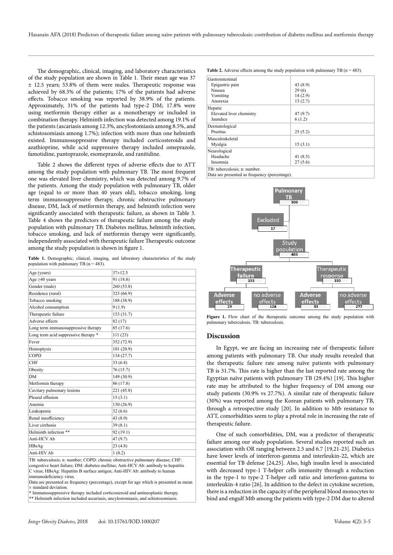The demographic, clinical, imaging, and laboratory characteristics of the study population are shown in Table 1. Their mean age was 37 ± 12.5 years; 53.8% of them were males. Therapeutic response was achieved by 68.3% of the patients; 17% of the patients had adverse effects. Tobacco smoking was reported by 38.9% of the patients. Approximately, 31% of the patients had type-2 DM; 17.8% were using metformin therapy either as a monotherapy or included in combination therapy. Helminth infection was detected among 19.1% of the patients (ascariasis among 12.3%, ancylostomiasis among 8.5%, and schistosomiasis among 1.7%); infection with more than one helminth existed. Immunosuppressive therapy included corticosteroids and azathioprine, while acid suppressive therapy included omeprazole, famotidine, pantoprazole, esomeprazole, and ranitidine.

Table 2 shows the different types of adverse effects due to ATT among the study population with pulmonary TB. The most frequent one was elevated liver chemistry, which was detected among 9.7% of the patients. Among the study population with pulmonary TB, older age (equal to or more than 40 years old), tobacco smoking, long term immunosuppressive therapy, chronic obstructive pulmonary disease, DM, lack of metformin therapy, and helminth infection were significantly associated with therapeutic failure, as shown in Table 3. Table 4 shows the predictors of therapeutic failure among the study population with pulmonary TB. Diabetes mellitus, helminth infection, tobacco smoking, and lack of metformin therapy were significantly, independently associated with therapeutic failure Therapeutic outcome among the study population is shown in figure 1.

**Table 1.** Demographic, clinical, imaging, and laboratory characteristics of the study population with pulmonary TB ( $n = 483$ ).

| Age (years)                          | $37 \pm 12.5$ |
|--------------------------------------|---------------|
| Age $\geq 40$ years                  | 91 (18.8)     |
| Gender (male)                        | 260(53.8)     |
| Residence (rural)                    | 323 (66.9)    |
| Tobacco smoking                      | 188 (38.9)    |
| Alcohol consumption                  | 9(1.9)        |
| Therapeutic failure                  | 153 (31.7)    |
| Adverse effects                      | 82 (17)       |
| Long term immunosuppressive therapy  | 85 (17.6)     |
| Long term acid suppressive therapy * | 111(23)       |
| Fever                                | 352 (72.9)    |
| Hemoptysis                           | 101(20.9)     |
| COPD                                 | 134 (27.7)    |
| <b>CHF</b>                           | 33(6.8)       |
| Obesity                              | 76 (15.7)     |
| <b>DM</b>                            | 149 (30.9)    |
| Metformin therapy                    | 86 (17.8)     |
| Cavitary pulmonary lesions           | 221 (45.8)    |
| Pleural effusion                     | 15(3.1)       |
| Anemia                               | 130(26.9)     |
| Leukopenia                           | 32(6.6)       |
| Renal insufficiency                  | 43 (8.9)      |
| Liver cirrhosis                      | 39(8.1)       |
| Helminth infection **                | 92(19.1)      |
| Anti-HCV Ab                          | 47 (9.7)      |
| HBsAg                                | 23(4.8)       |
| Anti-HIV Ab                          | 1(0.2)        |
|                                      |               |

TB: tuberculosis; n: number; COPD: chronic obstructive pulmonary disease; CHF: congestive heart failure; DM: diabetes mellitus; Anti-HCV Ab: antibody to hepatitis C virus; HBsAg: Hepatitis B surface antigen; Anti-HIV Ab: antibody to human immunodeficiency virus.

Data are presented as frequency (percentage), except for age which is presented as mean ± standard deviation.

\* Immunosuppressive therapy included corticosteroid and antineoplastic therapy.

\*\* Helminth infection included ascariasis, ancylostomiasis, and schistosomiasis.

**Table 2.** Adverse effects among the study population with pulmonary TB  $(n = 483)$ .

| Gastrointestinal             |            |  |
|------------------------------|------------|--|
| Epigastric pain              | 43 (8.9)   |  |
| Nausea                       | 29(6)      |  |
| Vomiting                     | 14(2.9)    |  |
| Anorexia                     | 13(2.7)    |  |
| Hepatic                      |            |  |
| Elevated liver chemistry     | 47 (9.7)   |  |
| Jaundice                     | 6(1.2)     |  |
| Dermatological               |            |  |
| Pruritus                     | 25(5.2)    |  |
| Musculoskeletal              |            |  |
| Myalgia                      | 15(3.1)    |  |
| Neurological                 |            |  |
| Headache                     | 41 $(8.5)$ |  |
| Insomnia                     | 27(5.6)    |  |
| TB: tuberculosis; n: number. |            |  |

Data are presented as frequency (percentage).



**Figure 1.** Flow chart of the therapeutic outcome among the study population with pulmonary tuberculosis. TB: tuberculosis.

# **Discussion**

In Egypt, we are facing an increasing rate of therapeutic failure among patients with pulmonary TB. Our study results revealed that the therapeutic failure rate among naïve patients with pulmonary TB is 31.7%. This rate is higher than the last reported rate among the Egyptian naïve patients with pulmonary TB (29.4%) [19]. This higher rate may be attributed to the higher frequency of DM among our study patients (30.9% vs 27.7%). A similar rate of therapeutic failure (30%) was reported among the Korean patients with pulmonary TB, through a retrospective study [20]. In addition to Mtb resistance to ATT, comorbidities seem to play a pivotal role in increasing the rate of therapeutic failure.

One of such comorbidities, DM, was a predictor of therapeutic failure among our study population. Several studies reported such an association with OR ranging between 2.5 and 6.7 [19,21-23]. Diabetics have lower levels of interferon-gamma and interleukin-22, which are essential for TB defense [24,25]. Also, high insulin level is associated with decreased type-1 T-helper cells immunity through a reduction in the type-1 to type-2 T-helper cell ratio and interferon-gamma to interleukin-4 ratio [26]. In addition to the defect in cytokine secretion, there is a reduction in the capacity of the peripheral blood monocytes to bind and engulf Mtb among the patients with type-2 DM due to altered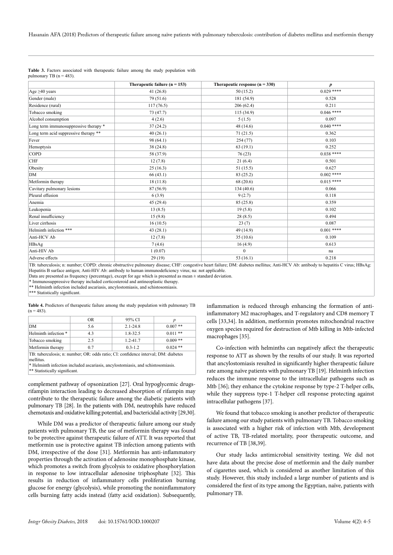Hasanain AFA (2018) Predictors of therapeutic failure among naïve patients with pulmonary tuberculosis: contribution of diabetes mellitus and metformin therapy

|                                       | Therapeutic failure ( $n = 153$ ) | Therapeutic response $(n = 330)$ | $\boldsymbol{p}$ |
|---------------------------------------|-----------------------------------|----------------------------------|------------------|
| Age $\geq 40$ years                   | 41(26.8)                          | 50(15.2)                         | $0.029$ ****     |
| Gender (male)                         | 79 (51.6)                         | 181 (54.9)                       | 0.528            |
| Residence (rural)                     | 117(76.5)                         | 206(62.4)                        | 0.211            |
| Tobacco smoking                       | 73 (47.7)                         | 115(34.9)                        | $0.046$ ****     |
| Alcohol consumption                   | 4(2.6)                            | 5(1.5)                           | 0.097            |
| Long term immunosuppressive therapy * | 37(24.2)                          | 48 (14.6)                        | $0.040$ ****     |
| Long term acid suppressive therapy ** | 40(26.1)                          | 71(21.5)                         | 0.362            |
| Fever                                 | 98 (64.1)                         | 254 (77)                         | 0.103            |
| Hemoptysis                            | 38 (24.8)                         | 63(19.1)                         | 0.252            |
| COPD                                  | 58 (37.9)                         | 76(23)                           | $0.038$ ****     |
| <b>CHF</b>                            | 12(7.8)                           | 21(6.4)                          | 0.501            |
| Obesity                               | 25(16.3)                          | 51 (15.5)                        | 0.627            |
| DM                                    | 66(43.1)                          | 83 (25.2)                        | $0.002$ ****     |
| Metformin therapy                     | 18(11.8)                          | 68 (20.6)                        | $0.015***$       |
| Cavitary pulmonary lesions            | 87 (56.9)                         | 134 (40.6)                       | 0.066            |
| Pleural effusion                      | 6(3.9)                            | 9(2.7)                           | 0.118            |
| Anemia                                | 45 (29.4)                         | 85 (25.8)                        | 0.359            |
| Leukopenia                            | 13(8.5)                           | 19(5.8)                          | 0.102            |
| Renal insufficiency                   | 15(9.8)                           | 28(8.5)                          | 0.494            |
| Liver cirrhosis                       | 16(10.5)                          | 23(7)                            | 0.087            |
| Helminth infection ***                | 43(28.1)                          | 49 (14.9)                        | $0.001$ ****     |
| Anti-HCV Ab                           | 12(7.8)                           | 35(10.6)                         | 0.109            |
| HBsAg                                 | 7(4.6)                            | 16(4.9)                          | 0.613            |
| Anti-HIV Ab                           | 1(0.07)                           | $\mathbf{0}$                     | na               |
| Adverse effects                       | 29(19)                            | 53 $(16.1)$                      | 0.218            |
|                                       |                                   |                                  |                  |

|                            |  | <b>Table 3.</b> Factors associated with the rapeutic failure among the study population with |  |  |  |
|----------------------------|--|----------------------------------------------------------------------------------------------|--|--|--|
| pulmonary TB $(n = 483)$ . |  |                                                                                              |  |  |  |

TB: tuberculosis; n: number; COPD: chronic obstructive pulmonary disease; CHF: congestive heart failure; DM: diabetes mellitus; Anti-HCV Ab: antibody to hepatitis C virus; HBsAg: Hepatitis B surface antigen; Anti-HIV Ab: antibody to human immunodeficiency virus; na: not applicable.

Data are presented as frequency (percentage), except for age which is presented as mean ± standard deviation.

\* Immunosuppressive therapy included corticosteroid and antineoplastic therapy.

\*\* Helminth infection included ascariasis, ancylostomiasis, and schistosomiasis.

\*\*\* Statistically significant.

**Table 4.** Predictors of therapeutic failure among the study population with pulmonary TB  $(n = 483)$ .

|                                                                                                                                                                                    | <b>OR</b>           | 95% CI       |            |  |  |  |
|------------------------------------------------------------------------------------------------------------------------------------------------------------------------------------|---------------------|--------------|------------|--|--|--|
| DΜ                                                                                                                                                                                 | $2.1 - 24.8$<br>5.6 |              | $0.007**$  |  |  |  |
| Helminth infection *                                                                                                                                                               | 4.3                 | 1.8-32.5     | $0.011**$  |  |  |  |
| Tobacco smoking                                                                                                                                                                    | 2.5                 | $1.2 - 41.7$ | $0.009**$  |  |  |  |
| Metformin therapy                                                                                                                                                                  | 0.7                 | $0.3 - 1.2$  | $0.024$ ** |  |  |  |
| TB: tuberculosis; n: number; OR: odds ratio; CI: confidence interval; DM: diabetes<br>mellitus.<br>* Helminth infection included ascariasis, ancylostomiasis, and schistosomiasis. |                     |              |            |  |  |  |

\*\* Statistically significant.

complement pathway of opsonization [27]. Oral hypoglycemic drugsrifampin interaction leading to decreased absorption of rifampin may contribute to the therapeutic failure among the diabetic patients with pulmonary TB [28]. In the patients with DM, neutrophils have reduced chemotaxis and oxidative killing potential, and bactericidal activity [29,30].

While DM was a predictor of therapeutic failure among our study patients with pulmonary TB, the use of metformin therapy was found to be protective against therapeutic failure of ATT. It was reported that metformin use is protective against TB infection among patients with DM, irrespective of the dose [31]. Metformin has anti-inflammatory properties through the activation of adenosine monophosphate kinase, which promotes a switch from glycolysis to oxidative phosphorylation in response to low intracellular adenosine triphosphate [32]. This results in reduction of inflammatory cells proliferation burning glucose for energy (glycolysis), while promoting the noninflammatory cells burning fatty acids instead (fatty acid oxidation). Subsequently, inflammation is reduced through enhancing the formation of antiinflammatory M2 macrophages, and T-regulatory and CD8 memory T cells [33,34]. In addition, metformin promotes mitochondrial reactive oxygen species required for destruction of Mtb killing in Mtb-infected macrophages [35].

Co-infection with helminths can negatively affect the therapeutic response to ATT as shown by the results of our study. It was reported that ancylostomiasis resulted in significantly higher therapeutic failure rate among naïve patients with pulmonary TB [19]. Helminth infection reduces the immune response to the intracellular pathogens such as Mtb [36]; they enhance the cytokine response by type-2 T-helper cells, while they suppress type-1 T-helper cell response protecting against intracellular pathogens [37].

We found that tobacco smoking is another predictor of therapeutic failure among our study patients with pulmonary TB. Tobacco smoking is associated with a higher risk of infection with Mtb, development of active TB, TB-related mortality, poor therapeutic outcome, and recurrence of TB [38,39].

Our study lacks antimicrobial sensitivity testing. We did not have data about the precise dose of metformin and the daily number of cigarettes used, which is considered as another limitation of this study. However, this study included a large number of patients and is considered the first of its type among the Egyptian, naïve, patients with pulmonary TB.